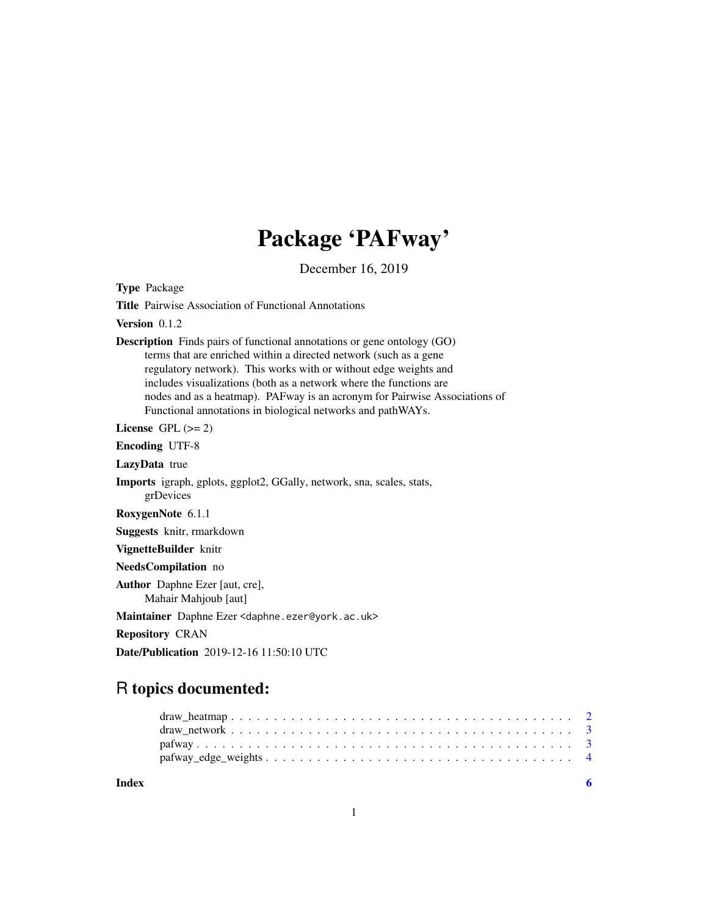# Package 'PAFway'

December 16, 2019

| <b>Type Package</b>                                                                                                                                                                                                                                                                                                                                                                                                                        |
|--------------------------------------------------------------------------------------------------------------------------------------------------------------------------------------------------------------------------------------------------------------------------------------------------------------------------------------------------------------------------------------------------------------------------------------------|
| <b>Title</b> Pairwise Association of Functional Annotations                                                                                                                                                                                                                                                                                                                                                                                |
| Version $0.1.2$                                                                                                                                                                                                                                                                                                                                                                                                                            |
| <b>Description</b> Finds pairs of functional annotations or gene ontology (GO)<br>terms that are enriched within a directed network (such as a gene<br>regulatory network). This works with or without edge weights and<br>includes visualizations (both as a network where the functions are<br>nodes and as a heatmap). PAFway is an acronym for Pairwise Associations of<br>Functional annotations in biological networks and pathWAYs. |
| License GPL $(>= 2)$                                                                                                                                                                                                                                                                                                                                                                                                                       |
| <b>Encoding UTF-8</b>                                                                                                                                                                                                                                                                                                                                                                                                                      |
| LazyData true                                                                                                                                                                                                                                                                                                                                                                                                                              |
| Imports igraph, gplots, ggplot2, GGally, network, sna, scales, stats,<br>grDevices                                                                                                                                                                                                                                                                                                                                                         |
| RoxygenNote 6.1.1                                                                                                                                                                                                                                                                                                                                                                                                                          |
| Suggests knitr, rmarkdown                                                                                                                                                                                                                                                                                                                                                                                                                  |
| VignetteBuilder knitr                                                                                                                                                                                                                                                                                                                                                                                                                      |
| NeedsCompilation no                                                                                                                                                                                                                                                                                                                                                                                                                        |
| Author Daphne Ezer [aut, cre],<br>Mahair Mahjoub [aut]                                                                                                                                                                                                                                                                                                                                                                                     |
| Maintainer Daphne Ezer <daphne.ezer@york.ac.uk></daphne.ezer@york.ac.uk>                                                                                                                                                                                                                                                                                                                                                                   |
| <b>Repository CRAN</b>                                                                                                                                                                                                                                                                                                                                                                                                                     |

Date/Publication 2019-12-16 11:50:10 UTC

# R topics documented:

| Index |  |  |  |  |  |  |  |  |  |  |  |  |  |  |  |  |  |  |
|-------|--|--|--|--|--|--|--|--|--|--|--|--|--|--|--|--|--|--|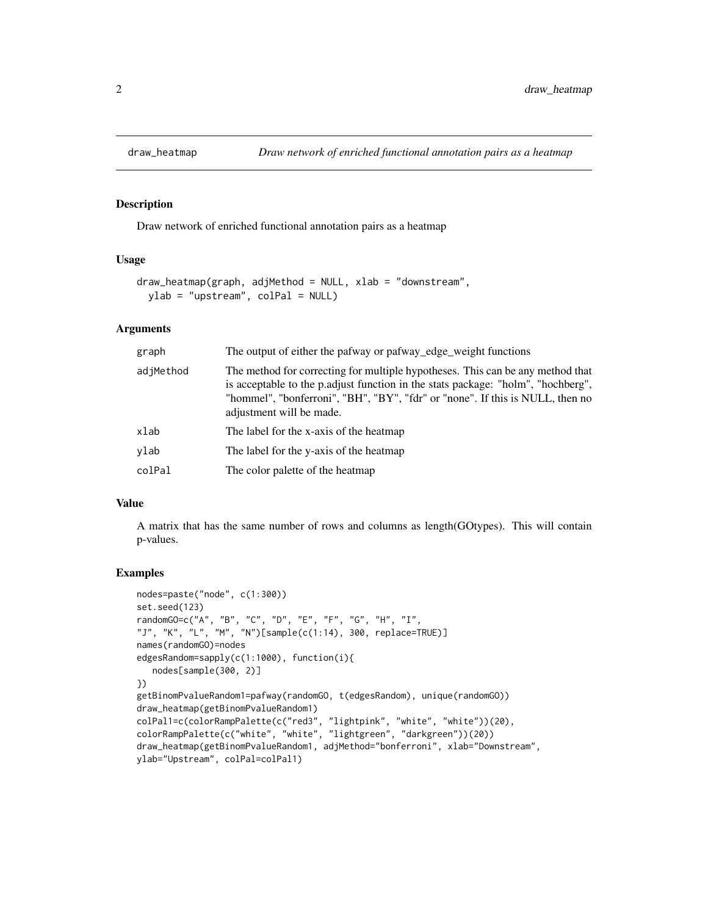<span id="page-1-0"></span>

#### Description

Draw network of enriched functional annotation pairs as a heatmap

### Usage

```
draw_heatmap(graph, adjMethod = NULL, xlab = "downstream",
 vlab = "upstream", colPal = NULL)
```
#### Arguments

| graph     | The output of either the pafway or pafway_edge_weight functions                                                                                                                                                                                                                 |
|-----------|---------------------------------------------------------------------------------------------------------------------------------------------------------------------------------------------------------------------------------------------------------------------------------|
| adjMethod | The method for correcting for multiple hypotheses. This can be any method that<br>is acceptable to the p.adjust function in the stats package: "holm", "hochberg",<br>"hommel", "bonferroni", "BH", "BY", "fdr" or "none". If this is NULL, then no<br>adjustment will be made. |
| xlab      | The label for the x-axis of the heatmap                                                                                                                                                                                                                                         |
| ylab      | The label for the y-axis of the heatmap                                                                                                                                                                                                                                         |
| colPal    | The color palette of the heatmap                                                                                                                                                                                                                                                |

#### Value

A matrix that has the same number of rows and columns as length(GOtypes). This will contain p-values.

#### Examples

```
nodes=paste("node", c(1:300))
set.seed(123)
randomGO=c("A", "B", "C", "D", "E", "F", "G", "H", "I",
"J", "K", "L", "M", "N")[sample(c(1:14), 300, replace=TRUE)]
names(randomGO)=nodes
edgesRandom=sapply(c(1:1000), function(i){
   nodes[sample(300, 2)]
})
getBinomPvalueRandom1=pafway(randomGO, t(edgesRandom), unique(randomGO))
draw_heatmap(getBinomPvalueRandom1)
colPal1=c(colorRampPalette(c("red3", "lightpink", "white", "white"))(20),
colorRampPalette(c("white", "white", "lightgreen", "darkgreen"))(20))
draw_heatmap(getBinomPvalueRandom1, adjMethod="bonferroni", xlab="Downstream",
ylab="Upstream", colPal=colPal1)
```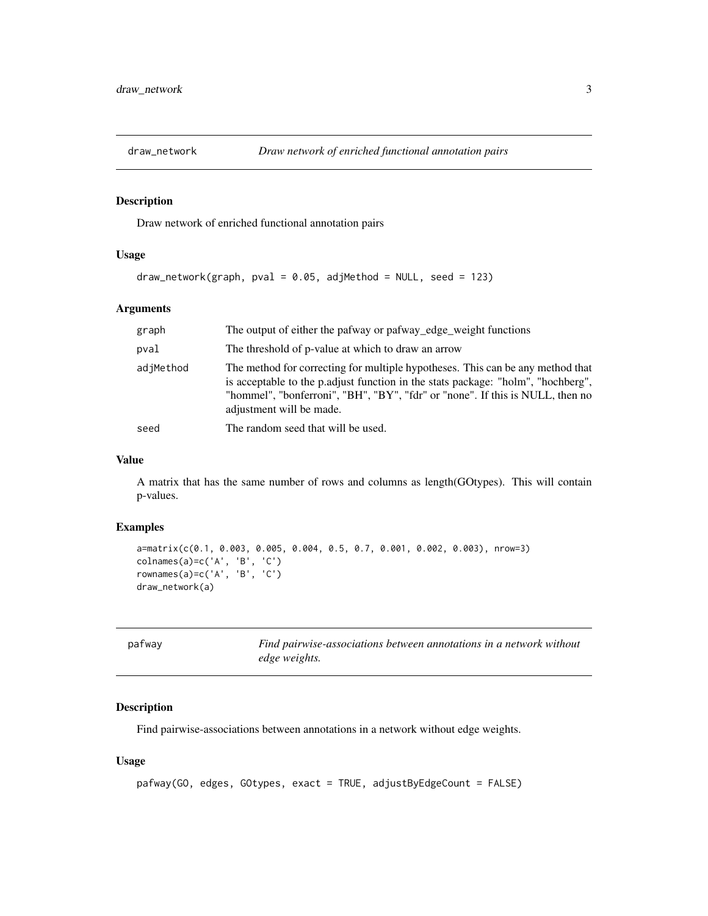<span id="page-2-0"></span>

#### Description

Draw network of enriched functional annotation pairs

# Usage

```
draw\_network(graph, pval = 0.05, adjMethod = NULL, seed = 123)
```
### Arguments

| graph     | The output of either the pafway or pafway_edge_weight functions                                                                                                                                                                                                                 |
|-----------|---------------------------------------------------------------------------------------------------------------------------------------------------------------------------------------------------------------------------------------------------------------------------------|
| pval      | The threshold of p-value at which to draw an arrow                                                                                                                                                                                                                              |
| adjMethod | The method for correcting for multiple hypotheses. This can be any method that<br>is acceptable to the p.adjust function in the stats package: "holm", "hochberg",<br>"hommel", "bonferroni", "BH", "BY", "fdr" or "none". If this is NULL, then no<br>adjustment will be made. |
| seed      | The random seed that will be used.                                                                                                                                                                                                                                              |

# Value

A matrix that has the same number of rows and columns as length(GOtypes). This will contain p-values.

#### Examples

```
a=matrix(c(0.1, 0.003, 0.005, 0.004, 0.5, 0.7, 0.001, 0.002, 0.003), nrow=3)
colnames(a)=c('A', 'B', 'C')
rownames(a)=c('A', 'B', 'C')
draw_network(a)
```

| pafway | Find pairwise-associations between annotations in a network without |
|--------|---------------------------------------------------------------------|
|        | edge weights.                                                       |

# Description

Find pairwise-associations between annotations in a network without edge weights.

### Usage

```
pafway(GO, edges, GOtypes, exact = TRUE, adjustByEdgeCount = FALSE)
```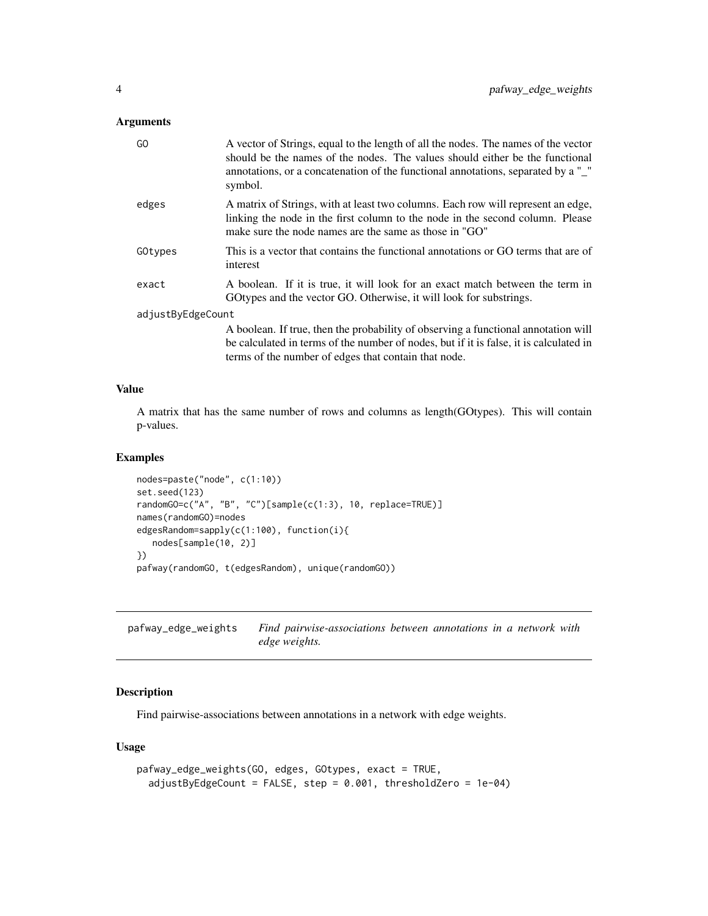#### <span id="page-3-0"></span>Arguments

| GO                | A vector of Strings, equal to the length of all the nodes. The names of the vector<br>should be the names of the nodes. The values should either be the functional<br>annotations, or a concatenation of the functional annotations, separated by a "_"<br>symbol. |
|-------------------|--------------------------------------------------------------------------------------------------------------------------------------------------------------------------------------------------------------------------------------------------------------------|
| edges             | A matrix of Strings, with at least two columns. Each row will represent an edge,<br>linking the node in the first column to the node in the second column. Please<br>make sure the node names are the same as those in "GO"                                        |
| GOtypes           | This is a vector that contains the functional annotations or GO terms that are of<br>interest                                                                                                                                                                      |
| exact             | A boolean. If it is true, it will look for an exact match between the term in<br>GOtypes and the vector GO. Otherwise, it will look for substrings.                                                                                                                |
| adjustByEdgeCount |                                                                                                                                                                                                                                                                    |
|                   | A boolean. If true, then the probability of observing a functional annotation will                                                                                                                                                                                 |
|                   | be calculated in terms of the number of nodes, but if it is false, it is calculated in                                                                                                                                                                             |
|                   | terms of the number of edges that contain that node.                                                                                                                                                                                                               |

#### Value

A matrix that has the same number of rows and columns as length(GOtypes). This will contain p-values.

### Examples

```
nodes=paste("node", c(1:10))
set.seed(123)
randomGO=c("A", "B", "C")[sample(c(1:3), 10, replace=TRUE)]
names(randomGO)=nodes
edgesRandom=sapply(c(1:100), function(i){
   nodes[sample(10, 2)]
})
pafway(randomGO, t(edgesRandom), unique(randomGO))
```
pafway\_edge\_weights *Find pairwise-associations between annotations in a network with edge weights.*

# Description

Find pairwise-associations between annotations in a network with edge weights.

#### Usage

```
pafway_edge_weights(GO, edges, GOtypes, exact = TRUE,
  adjustByEdgeCount = FALSE, step = 0.001, thresholdZero = 1e-04)
```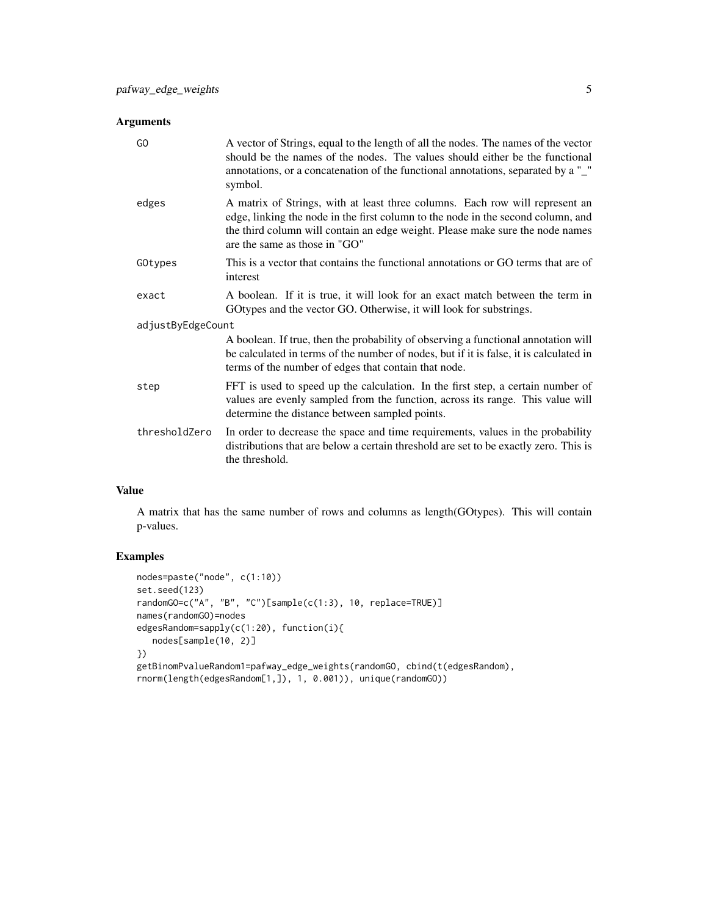# Arguments

| GO                | A vector of Strings, equal to the length of all the nodes. The names of the vector<br>should be the names of the nodes. The values should either be the functional<br>annotations, or a concatenation of the functional annotations, separated by a "_"<br>symbol.                 |
|-------------------|------------------------------------------------------------------------------------------------------------------------------------------------------------------------------------------------------------------------------------------------------------------------------------|
| edges             | A matrix of Strings, with at least three columns. Each row will represent an<br>edge, linking the node in the first column to the node in the second column, and<br>the third column will contain an edge weight. Please make sure the node names<br>are the same as those in "GO" |
| GOtypes           | This is a vector that contains the functional annotations or GO terms that are of<br>interest                                                                                                                                                                                      |
| exact             | A boolean. If it is true, it will look for an exact match between the term in<br>GO types and the vector GO. Otherwise, it will look for substrings.                                                                                                                               |
| adjustByEdgeCount |                                                                                                                                                                                                                                                                                    |
|                   | A boolean. If true, then the probability of observing a functional annotation will<br>be calculated in terms of the number of nodes, but if it is false, it is calculated in<br>terms of the number of edges that contain that node.                                               |
| step              | FFT is used to speed up the calculation. In the first step, a certain number of<br>values are evenly sampled from the function, across its range. This value will<br>determine the distance between sampled points.                                                                |
| thresholdZero     | In order to decrease the space and time requirements, values in the probability<br>distributions that are below a certain threshold are set to be exactly zero. This is<br>the threshold.                                                                                          |

# Value

A matrix that has the same number of rows and columns as length(GOtypes). This will contain p-values.

# Examples

```
nodes=paste("node", c(1:10))
set.seed(123)
randomGO=c("A", "B", "C")[sample(c(1:3), 10, replace=TRUE)]
names(randomGO)=nodes
edgesRandom=sapply(c(1:20), function(i){
   nodes[sample(10, 2)]
})
getBinomPvalueRandom1=pafway_edge_weights(randomGO, cbind(t(edgesRandom),
rnorm(length(edgesRandom[1,]), 1, 0.001)), unique(randomGO))
```